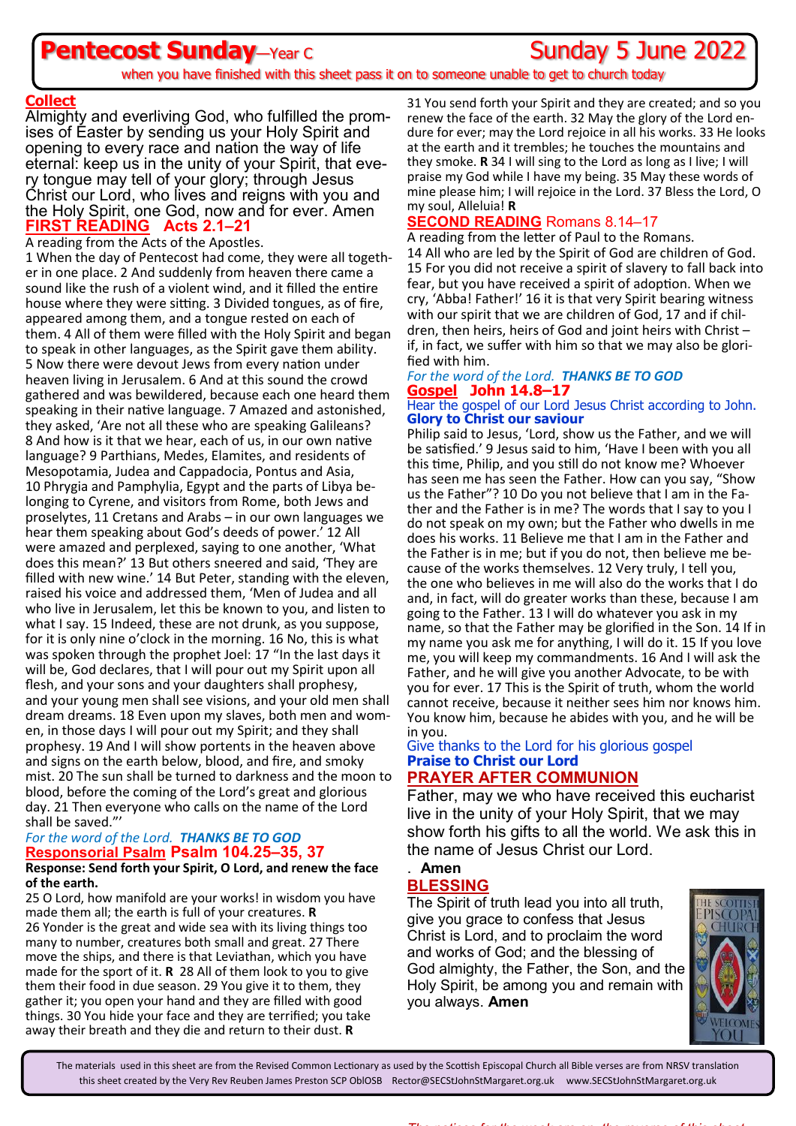# **Pentecost Sunday**—Year C **Constant Constant Constant Constant Constant Constant Constant Constant Constant Constant Constant Constant Constant Constant Constant Constant Constant Constant Constant Constant Constant Consta**

when you have finished with this sheet pass it on to someone unable to get to church today

### **Collect**

Almighty and everliving God, who fulfilled the promises of Easter by sending us your Holy Spirit and opening to every race and nation the way of life eternal: keep us in the unity of your Spirit, that every tongue may tell of your glory; through Jesus Christ our Lord, who lives and reigns with you and the Holy Spirit, one God, now and for ever. Amen **FIRST READING Acts 2.1–21**

A reading from the Acts of the Apostles.

1 When the day of Pentecost had come, they were all together in one place. 2 And suddenly from heaven there came a sound like the rush of a violent wind, and it filled the entire house where they were sitting. 3 Divided tongues, as of fire, appeared among them, and a tongue rested on each of them. 4 All of them were filled with the Holy Spirit and began to speak in other languages, as the Spirit gave them ability. 5 Now there were devout Jews from every nation under heaven living in Jerusalem. 6 And at this sound the crowd gathered and was bewildered, because each one heard them speaking in their native language. 7 Amazed and astonished, they asked, 'Are not all these who are speaking Galileans? 8 And how is it that we hear, each of us, in our own native language? 9 Parthians, Medes, Elamites, and residents of Mesopotamia, Judea and Cappadocia, Pontus and Asia, 10 Phrygia and Pamphylia, Egypt and the parts of Libya belonging to Cyrene, and visitors from Rome, both Jews and proselytes, 11 Cretans and Arabs – in our own languages we hear them speaking about God's deeds of power.' 12 All were amazed and perplexed, saying to one another, 'What does this mean?' 13 But others sneered and said, 'They are filled with new wine.' 14 But Peter, standing with the eleven, raised his voice and addressed them, 'Men of Judea and all who live in Jerusalem, let this be known to you, and listen to what I say. 15 Indeed, these are not drunk, as you suppose, for it is only nine o'clock in the morning. 16 No, this is what was spoken through the prophet Joel: 17 "In the last days it will be, God declares, that I will pour out my Spirit upon all flesh, and your sons and your daughters shall prophesy, and your young men shall see visions, and your old men shall dream dreams. 18 Even upon my slaves, both men and women, in those days I will pour out my Spirit; and they shall prophesy. 19 And I will show portents in the heaven above and signs on the earth below, blood, and fire, and smoky mist. 20 The sun shall be turned to darkness and the moon to blood, before the coming of the Lord's great and glorious day. 21 Then everyone who calls on the name of the Lord shall be saved."'

### *For the word of the Lord. THANKS BE TO GOD* **Responsorial Psalm Psalm 104.25–35, 37**

#### **Response: Send forth your Spirit, O Lord, and renew the face of the earth.**

25 O Lord, how manifold are your works! in wisdom you have made them all; the earth is full of your creatures. **R** 26 Yonder is the great and wide sea with its living things too many to number, creatures both small and great. 27 There move the ships, and there is that Leviathan, which you have made for the sport of it. **R** 28 All of them look to you to give them their food in due season. 29 You give it to them, they gather it; you open your hand and they are filled with good things. 30 You hide your face and they are terrified; you take away their breath and they die and return to their dust. **R**

31 You send forth your Spirit and they are created; and so you renew the face of the earth. 32 May the glory of the Lord endure for ever; may the Lord rejoice in all his works. 33 He looks at the earth and it trembles; he touches the mountains and they smoke. **R** 34 I will sing to the Lord as long as I live; I will praise my God while I have my being. 35 May these words of mine please him; I will rejoice in the Lord. 37 Bless the Lord, O my soul, Alleluia! **R**

### **SECOND READING** Romans 8.14–17

A reading from the letter of Paul to the Romans. 14 All who are led by the Spirit of God are children of God. 15 For you did not receive a spirit of slavery to fall back into fear, but you have received a spirit of adoption. When we cry, 'Abba! Father!' 16 it is that very Spirit bearing witness with our spirit that we are children of God, 17 and if children, then heirs, heirs of God and joint heirs with Christ – if, in fact, we suffer with him so that we may also be glorified with him.

#### *For the word of the Lord. THANKS BE TO GOD* **Gospel John 14.8–17**

#### Hear the gospel of our Lord Jesus Christ according to John. **Glory to Christ our saviour**

Philip said to Jesus, 'Lord, show us the Father, and we will be satisfied.' 9 Jesus said to him, 'Have I been with you all this time, Philip, and you still do not know me? Whoever has seen me has seen the Father. How can you say, "Show us the Father"? 10 Do you not believe that I am in the Father and the Father is in me? The words that I say to you I do not speak on my own; but the Father who dwells in me does his works. 11 Believe me that I am in the Father and the Father is in me; but if you do not, then believe me because of the works themselves. 12 Very truly, I tell you, the one who believes in me will also do the works that I do and, in fact, will do greater works than these, because I am going to the Father. 13 I will do whatever you ask in my name, so that the Father may be glorified in the Son. 14 If in my name you ask me for anything, I will do it. 15 If you love me, you will keep my commandments. 16 And I will ask the Father, and he will give you another Advocate, to be with you for ever. 17 This is the Spirit of truth, whom the world cannot receive, because it neither sees him nor knows him. You know him, because he abides with you, and he will be in you.

## Give thanks to the Lord for his glorious gospel **Praise to Christ our Lord**

### **PRAYER AFTER COMMUNION**

Father, may we who have received this eucharist live in the unity of your Holy Spirit, that we may show forth his gifts to all the world. We ask this in the name of Jesus Christ our Lord.

#### . **Amen BLESSING**

The Spirit of truth lead you into all truth, give you grace to confess that Jesus Christ is Lord, and to proclaim the word and works of God; and the blessing of God almighty, the Father, the Son, and the Holy Spirit, be among you and remain with you always. **Amen**



The materials used in this sheet are from the Revised Common Lectionary as used by the Scottish Episcopal Church all Bible verses are from NRSV translation this sheet created by the Very Rev Reuben James Preston SCP OblOSB Rector@SECStJohnStMargaret.org.uk www.SECStJohnStMargaret.org.uk